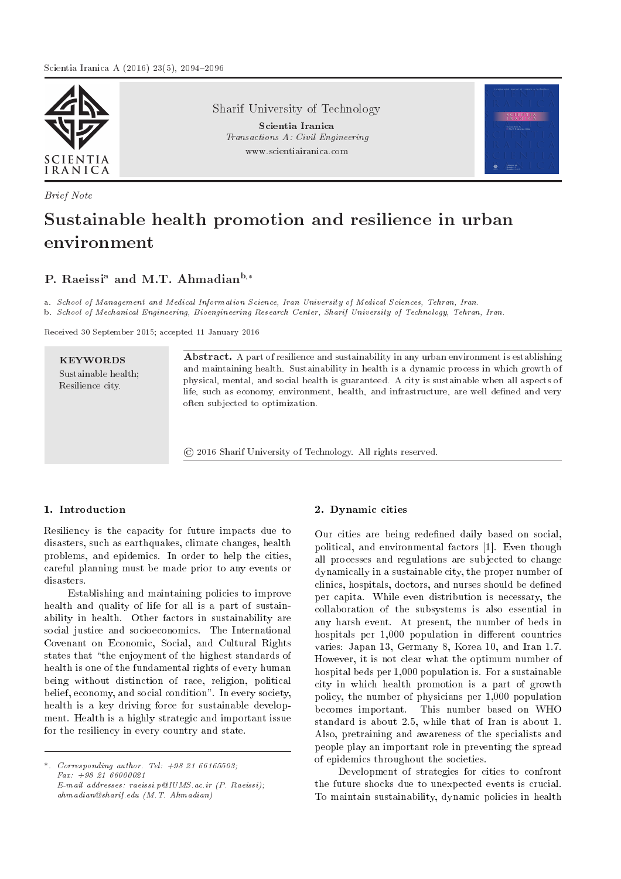

Brief Note

Sharif University of Technology

Scientia Iranica Transactions A: Civil Engineering www.scientiairanica.com



# Sustainable health promotion and resilience in urban environment

# P. Raeissi<sup>a</sup> and M.T. Ahmadian<sup>b,\*</sup>

a. School of Management and Medical Information Science, Iran University of Medical Sciences, Tehran, Iran. b. School of Mechanical Engineering, Bioengineering Research Center, Sharif University of Technology, Tehran, Iran.

Received 30 September 2015; accepted 11 January 2016

KEYWORDS Sustainable health; Resilience city.

Abstract. A part of resilience and sustainability in any urban environment is establishing and maintaining health. Sustainability in health is a dynamic process in which growth of physical, mental, and social health is guaranteed. A city is sustainable when all aspects of life, such as economy, environment, health, and infrastructure, are well defined and very often subjected to optimization.

© 2016 Sharif University of Technology. All rights reserved.

# 1. Introduction

Resiliency is the capacity for future impacts due to disasters, such as earthquakes, climate changes, health problems, and epidemics. In order to help the cities, careful planning must be made prior to any events or disasters.

Establishing and maintaining policies to improve health and quality of life for all is a part of sustainability in health. Other factors in sustainability are social justice and socioeconomics. The International Covenant on Economic, Social, and Cultural Rights states that "the enjoyment of the highest standards of health is one of the fundamental rights of every human being without distinction of race, religion, political belief, economy, and social condition". In every society, health is a key driving force for sustainable development. Health is a highly strategic and important issue for the resiliency in every country and state.

\*. Corresponding author. Tel:  $+98, 21, 66165503$ ; Fax: +98 21 66000021 E-mail addresses: raeissi.p@IUMS.ac.ir (P. Raeissi); ahmadian@sharif.edu (M.T. Ahmadian)

# 2. Dynamic cities

Our cities are being redefined daily based on social, political, and environmental factors [1]. Even though all processes and regulations are subjected to change dynamically in a sustainable city, the proper number of clinics, hospitals, doctors, and nurses should be dened per capita. While even distribution is necessary, the collaboration of the subsystems is also essential in any harsh event. At present, the number of beds in hospitals per 1,000 population in different countries varies: Japan 13, Germany 8, Korea 10, and Iran 1.7. However, it is not clear what the optimum number of hospital beds per 1,000 population is. For a sustainable city in which health promotion is a part of growth policy, the number of physicians per 1,000 population becomes important. This number based on WHO standard is about 2.5, while that of Iran is about 1. Also, pretraining and awareness of the specialists and people play an important role in preventing the spread of epidemics throughout the societies.

Development of strategies for cities to confront the future shocks due to unexpected events is crucial. To maintain sustainability, dynamic policies in health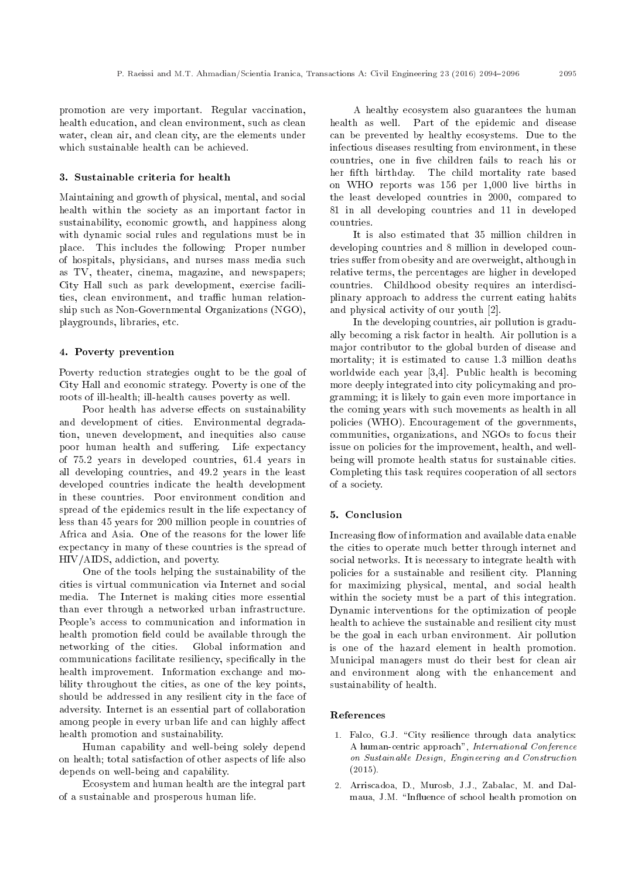promotion are very important. Regular vaccination, health education, and clean environment, such as clean water, clean air, and clean city, are the elements under which sustainable health can be achieved.

#### 3. Sustainable criteria for health

Maintaining and growth of physical, mental, and social health within the society as an important factor in sustainability, economic growth, and happiness along with dynamic social rules and regulations must be in place. This includes the following: Proper number of hospitals, physicians, and nurses mass media such as TV, theater, cinema, magazine, and newspapers; City Hall such as park development, exercise facilities, clean environment, and traffic human relationship such as Non-Governmental Organizations (NGO), playgrounds, libraries, etc.

#### 4. Poverty prevention

Poverty reduction strategies ought to be the goal of City Hall and economic strategy. Poverty is one of the roots of ill-health; ill-health causes poverty as well.

Poor health has adverse effects on sustainability and development of cities. Environmental degradation, uneven development, and inequities also cause poor human health and suffering. Life expectancy of 75.2 years in developed countries, 61.4 years in all developing countries, and 49.2 years in the least developed countries indicate the health development in these countries. Poor environment condition and spread of the epidemics result in the life expectancy of less than 45 years for 200 million people in countries of Africa and Asia. One of the reasons for the lower life expectancy in many of these countries is the spread of HIV/AIDS, addiction, and poverty.

One of the tools helping the sustainability of the cities is virtual communication via Internet and social media. The Internet is making cities more essential than ever through a networked urban infrastructure. People's access to communication and information in health promotion field could be available through the networking of the cities. Global information and communications facilitate resiliency, specically in the health improvement. Information exchange and mobility throughout the cities, as one of the key points, should be addressed in any resilient city in the face of adversity. Internet is an essential part of collaboration among people in every urban life and can highly affect health promotion and sustainability.

Human capability and well-being solely depend on health; total satisfaction of other aspects of life also depends on well-being and capability.

Ecosystem and human health are the integral part of a sustainable and prosperous human life.

A healthy ecosystem also guarantees the human health as well. Part of the epidemic and disease can be prevented by healthy ecosystems. Due to the infectious diseases resulting from environment, in these countries, one in five children fails to reach his or her fifth birthday. The child mortality rate based on WHO reports was 156 per 1,000 live births in the least developed countries in 2000, compared to 81 in all developing countries and 11 in developed countries.

It is also estimated that 35 million children in developing countries and 8 million in developed countries suffer from obesity and are overweight, although in relative terms, the percentages are higher in developed countries. Childhood obesity requires an interdisciplinary approach to address the current eating habits and physical activity of our youth [2].

In the developing countries, air pollution is gradually becoming a risk factor in health. Air pollution is a major contributor to the global burden of disease and mortality; it is estimated to cause 1.3 million deaths worldwide each year [3,4]. Public health is becoming more deeply integrated into city policymaking and programming; it is likely to gain even more importance in the coming years with such movements as health in all policies (WHO). Encouragement of the governments, communities, organizations, and NGOs to focus their issue on policies for the improvement, health, and wellbeing will promote health status for sustainable cities. Completing this task requires cooperation of all sectors of a society.

#### 5. Conclusion

Increasing flow of information and available data enable the cities to operate much better through internet and social networks. It is necessary to integrate health with policies for a sustainable and resilient city. Planning for maximizing physical, mental, and social health within the society must be a part of this integration. Dynamic interventions for the optimization of people health to achieve the sustainable and resilient city must be the goal in each urban environment. Air pollution is one of the hazard element in health promotion. Municipal managers must do their best for clean air and environment along with the enhancement and sustainability of health.

#### References

- 1. Falco, G.J. "City resilience through data analytics: A human-centric approach", International Conference on Sustainable Design, Engineering and Construction (2015).
- 2. Arriscadoa, D., Murosb, J.J., Zabalac, M. and Dalmaua, J.M. "Influence of school health promotion on